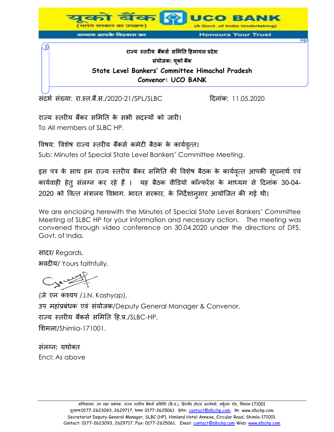

**State Level Bankers' Committee Himachal Pradesh**

**Convenor: UCO BANK**

संदर्भ संख्या: रा.स्त.बैं.स./2020-21/SPL/SLBC दिनांक: 11.05.2020

राज्य स्तरीय बैंकर समिति के सभी सदस्यों को जारी।

To All members of SLBC HP.

विषय: विशेष राज्य स्तरीय बैंकर्स कमेटी बैठक के कार्यवृत्त।

Sub: Minutes of Special State Level Bankers' Committee Meeting.

इस पत्र के साथ हम राज्य स्तरीय बैंकर समिति की विशेष बैठक के कार्यवृत्त आपकी सूचनार्थ एवं कार्यवाही हेतु संलग्न कर रहे हैं । यह बैठक वीडियो कॉन्फरेंस के माध्यम से दिनांक 30-04-2020 को वित्त मंत्रालय विभाग, भारत सरकार, के निर्देशान्सार आयोजित की गई थी।

We are enclosing herewith the Minutes of Special State Level Bankers' Committee Meeting of SLBC HP for your information and necessary action. The meeting was convened through video conference on 30.04.2020 under the directions of DFS, Govt. of India.

सादर/ Regards, भवदीय/ Yours faithfully,

(जे एन कश्यप /J.N. Kashyap), उप महांप्रबंधक एवं संयोजक/Deputy General Manager & Convenor, राज्य स्तरीय बैंकर्स समिति हि.प्र./SLBC-HP, मिमला/Shimla-171001.

संलग्न: यथोक्त Encl: As above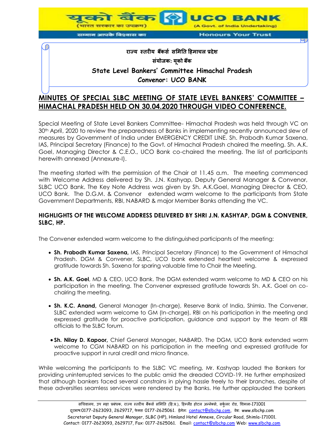

C

# **राज्य स्तरीय बकैंर्स र्मितत हििाचल प्रदेश र्ंयोजक: यकू ो बकैं State Level Bankers' Committee Himachal Pradesh Convenor: UCO BANK**

# **MINUTES OF SPECIAL SLBC MEETING OF STATE LEVEL BANKERS' COMMITTEE – HIMACHAL PRADESH HELD ON 30.04.2020 THROUGH VIDEO CONFERENCE.**

Special Meeting of State Level Bankers Committee- Himachal Pradesh was held through VC on 30th April, 2020 to review the preparedness of Banks in implementing recently announced slew of measures by Government of India under EMERGENCY CREDIT LINE. Sh. Prabodh Kumar Saxena, IAS, Principal Secretary (Finance) to the Govt. of Himachal Pradesh chaired the meeting. Sh. A.K. Goel, Managing Director & C.E.O., UCO Bank co-chaired the meeting. The list of participants herewith annexed (Annexure-I).

The meeting started with the permission of the Chair at 11.45 a.m. The meeting commenced with Welcome Address delivered by Sh. J.N. Kashyap, Deputy General Manager & Convenor, SLBC UCO Bank. The Key Note Address was given by Sh. A.K.Goel, Managing Director & CEO, UCO Bank. The D.G.M. & Convenor extended warm welcome to the participants from State Government Departments, RBI, NABARD & major Member Banks attending the VC.

#### **HIGHLIGHTS OF THE WELCOME ADDRESS DELIVERED BY SHRI J.N. KASHYAP, DGM & CONVENER, SLBC, HP.**

The Convener extended warm welcome to the distinguished participants of the meeting:

- **Sh. Prabodh Kumar Saxena,** IAS, Principal Secretary (Finance) to the Government of Himachal Pradesh. DGM & Convener, SLBC, UCO bank extended heartiest welcome & expressed gratitude towards Sh. Saxena for sparing valuable time to Chair the Meeting.
- **Sh. A.K. Goel**, MD & CEO, UCO Bank. The DGM extended warm welcome to MD & CEO on his participation in the meeting. The Convener expressed gratitude towards Sh. A.K. Goel on cochairing the meeting.
- **Sh. K.C. Anand,** General Manager (In-charge), Reserve Bank of India, Shimla. The Convener, SLBC extended warm welcome to GM (In-charge), RBI on his participation in the meeting and expressed gratitude for proactive participation, guidance and support by the team of RBI officials to the SLBC forum.
- **Sh. Nilay D. Kapoor,** Chief General Manager**,** NABARD. The DGM, UCO Bank extended warm welcome to CGM NABARD on his participation in the meeting and expressed gratitude for proactive support in rural credit and micro finance.

While welcoming the participants to the SLBC VC meeting, Mr. Kashyap lauded the Bankers for providing uninterrupted services to the public amid the dreaded COVID-19. He further emphasized that although bankers faced several constrains in plying hassle freely to their branches, despite of these adversities seamless services were rendered by the Banks. He further applauded the bankers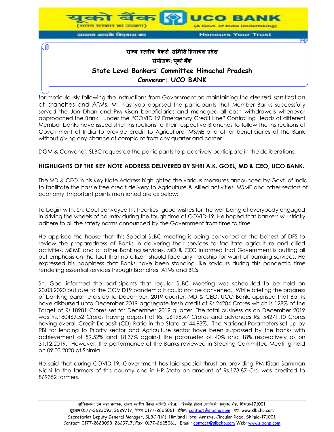

for meticulously following the instructions from Government on maintaining the desired sanitization at branches and ATMs. Mr. Kashyap apprised the participants that Member Banks successfully served the Jan Dhan and PM Kisan beneficiaries and managed all cash withdrawals whenever approached the Bank. Under the "COVID 19 Emergency Credit Line" Controlling Heads of different Member banks have issued strict instructions to their respective Branches to follow the instructions of Government of India to provide credit to Agriculture, MSME and other beneficiaries of the Bank without giving any chance of complaint from any quarter and corner.

DGM & Convener, SLBC requested the participants to proactively participate in the deliberations.

#### **HIGHLIGHTS OF THE KEY NOTE ADDRESS DELIVERED BY SHRI A.K. GOEL, MD & CEO, UCO BANK.**

The MD & CEO in his Key Note Address highlighted the various measures announced by Govt. of India to facilitate the hassle free credit delivery to Agriculture & Allied activities, MSME and other sectors of economy. Important points mentioned are as below:

To begin with, Sh. Goel conveyed his heartiest good wishes for the well being of everybody engaged in driving the wheels of country during the tough time of COVID-19. He hoped that bankers will strictly adhere to all the safety norms announced by the Government from time to time.

He apprised the house that this Special SLBC meeting is being convened at the behest of DFS to review the preparedness of Banks in delivering their services to facilitate agriculture and allied activities, MSME and all other Banking services. MD & CEO informed that Government is putting all out emphasis on the fact that no citizen should face any hardship for want of banking services. He expressed his happiness that Banks have been standing like saviours during this pandemic time rendering essential services through Branches, ATMs and BCs.

Sh. Goel informed the participants that regular SLBC Meeting was scheduled to be held on 20.03.2020 but due to the COVID19 pandemic it could not be convened. While briefing the progress of banking parameters up to December, 2019 quarter, MD & CEO, UCO Bank, apprised that Banks have disbursed upto December 2019 aggregate fresh credit of Rs.24204 Crores which is 128% of the Target of Rs.18981 Crores set for December 2019 quarter. The total business as on December 2019 was Rs.180469.52 Crores having deposit of Rs.126198.47 Crores and advances Rs. 54271.10 Crores having overall Credit Deposit (CD) Ratio in the State at 44.93%. The National Parameters set up by RBI for lending to Priority sector and Agriculture sector have been surpassed by the banks with achievement of 59.52% and 18.37% against the parameter of 40% and 18% respectively as on 31.12.2019. However, the performance of the Banks reviewed in Steering Committee Meeting held on 09.03.2020 at Shimla.

He said that during COVID-19, Government has laid special thrust on providing PM Kisan Samman Nidhi to the farmers of this country and in HP State an amount of Rs.173.87 Crs. was credited to 869352 farmers.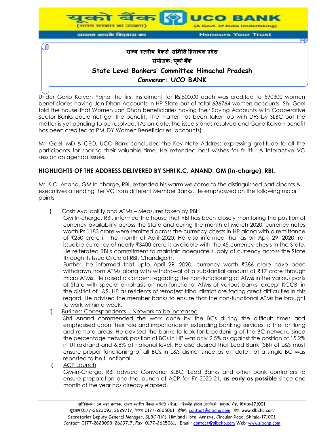

Under Garib Kalyan Yojna the first instalment for Rs.500.00 each was credited to 590300 women beneficiaries having Jan Dhan Accounts in HP State out of total 636764 women accounts. Sh. Goel told the house that Women Jan Dhan beneficiaries having their Saving Accounts with Cooperative Sector Banks could not get the benefit. The matter has been taken up with DFS by SLBC but the matter is yet pending to be resolved. (As on date, the issue stands resolved and Garib Kalyan benefit has been credited to PMJDY Women Beneficiaries' accounts)

Mr. Goel, MD & CEO, UCO Bank concluded the Key Note Address expressing gratitude to all the participants for sparing their valuable time. He extended best wishes for fruitful & interactive VC session on agenda issues.

#### **HIGHLIGHTS OF THE ADDRESS DELIVERED BY SHRI K.C. ANAND, GM (In-charge), RBI.**

Mr. K.C. Anand, GM In-charge, RBI, extended his warm welcome to the distinguished participants & executives attending the VC from different Member Banks. He emphasized on the following major points;

i) Cash Availability and ATMs – Measures taken by RBI

GM In-charge, RBI, informed the house that RBI has been closely monitoring the position of currency availability across the State and during the month of March 2020, currency notes worth Rs.1183 crore were remitted across the currency chests in HP along with a remittance of ₹250 crore in the month of April 2020. He also informed that as on April 29, 2020, reissuable currency of nearly ₹3400 crore is available with the 45 currency chests in the State. He reiterated RBI's commitment to maintain adequate supply of currency across the State through its Issue Circle at RBI, Chandigarh.

Further, he informed that upto April 29, 2020, currency worth ₹386 crore have been withdrawn from ATMs along with withdrawal of a substantial amount of ₹17 crore through micro ATMs. He raised a concern regarding the non-functioning of ATMs in the various parts of State with special emphasis on non-functional ATMs of various banks, except KCCB, in the district of L&S, HP as residents of remotest tribal district are facing great difficulties in this regard. He advised the member banks to ensure that the non-functional ATMs be brought to work within a week.

ii) Business Correspondents - Network to be increased

Shri Anand commended the work done by the BCs during the difficult times and emphasised upon their role and importance in extending banking services to the far flung and remote areas. He advised the banks to look for broadening of the BC network, since the percentage network position of BCs in HP was only 2.5% as against the position of 15.2% in Uttrakhand and 6.8% at national level. He also desired that Lead Bank (SBI) of L&S must ensure proper functioning of all BCs in L&S district since as on date not a single BC was reported to be functional.

iii) ACP Launch

GM-in-Charge, RBI advised Convenor SLBC, Lead Banks and other bank controllers to ensure preparation and the launch of ACP for FY 2020-21, **as early as possible** since one month of the year has already elapsed.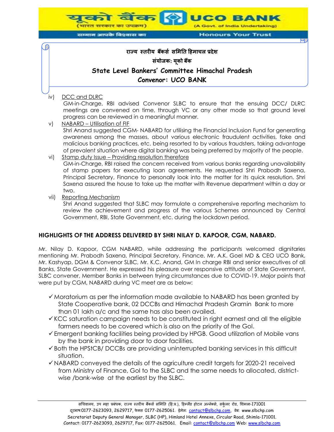(A Goyt, of India Undertaking)

सम्मान आपके विश्वास का

**Honours Your Trust** 

**JCO BAI** 

# **राज्य स्तरीय बकैंर्स र्मितत हििाचल प्रदेश र्ंयोजक: यकू ो बकैं State Level Bankers' Committee Himachal Pradesh Convenor: UCO BANK**

iv) DCC and DLRC

C

GM-in-Charge, RBI advised Convenor SLBC to ensure that the ensuing DCC/ DLRC meetings are convened on time, through VC or any other mode so that ground level progress can be reviewed in a meaningful manner.

- v) NABARD Utilisation of FIF Shri Anand suggested CGM- NABARD for utilising the Financial Inclusion Fund for generating awareness among the masses, about various electronic fraudulent activities, fake and malicious banking practices, etc. being resorted to by various fraudsters, taking advantage of prevalent situation where digital banking was being preferred by majority of the people.
- vi) Stamp duty Issue Providing resolution therefore GM-in-Charge, RBI raised the concern received from various banks regarding unavailability of stamp papers for executing loan agreements. He requested Shri Prabodh Saxena, Principal Secretary, Finance to personally look into the matter for its quick resolution. Shri Saxena assured the house to take up the matter with Revenue department within a day or two.
- vii) Reporting Mechanism

Shri Anand suggested that SLBC may formulate a comprehensive reporting mechanism to review the achievement and progress of the various Schemes announced by Central Government, RBI, State Government, etc. during the lockdown period.

## **HIGHLIGHTS OF THE ADDRESS DELIVERED BY SHRI NILAY D. KAPOOR, CGM, NABARD.**

Mr. Nilay D. Kapoor, CGM NABARD, while addressing the participants welcomed dignitaries mentioning Mr. Prabodh Saxena, Principal Secretary, Finance, Mr. A.K. Goel MD & CEO UCO Bank, Mr. Kashyap, DGM & Convenor SLBC, Mr. K.C. Anand, GM In charge RBI and senior executives of all Banks, State Government. He expressed his pleasure over responsive attitude of State Government, SLBC convener, Member Banks in between trying circumstances due to COVID-19. Major points that were put by CGM, NABARD during VC meet are as below:

- $\checkmark$  Moratorium as per the information made available to NABARD has been granted by State Cooperative bank, 02 DCCBs and Himachal Pradesh Gramin Bank to more than 01 lakh a/c and the same has also been availed.
- $\checkmark$  KCC saturation campaign needs to be constituted in right earnest and all the eligible farmers needs to be covered which is also on the priority of the GoI.
- Emergent banking facilities being provided by HPGB. Good utilization of Mobile vans by the bank in providing door to door facilities.
- $\checkmark$  Both the HPStCB/ DCCBs are providing uninterrupted banking services in this difficult situation.
- $\checkmark$  NABARD conveyed the details of the agriculture credit targets for 2020-21 received from Ministry of Finance, GoI to the SLBC and the same needs to allocated, districtwise /bank-wise at the earliest by the SLBC.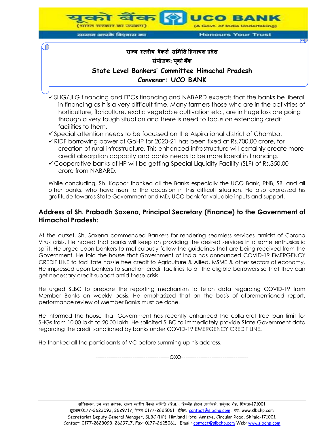(A Goyt, of India Undertaking)

**Honours Your Trust** 

**JCO BAI** 

# **राज्य स्तरीय बकैंर्स र्मितत हििाचल प्रदेश र्ंयोजक: यकू ो बकैं State Level Bankers' Committee Himachal Pradesh Convenor: UCO BANK**

- SHG/JLG financing and FPOs financing and NABARD expects that the banks be liberal in financing as it is a very difficult time. Many farmers those who are in the activities of horticulture, floriculture, exotic vegetable cultivation etc., are in huge loss are going through a very tough situation and there is need to focus on extending credit facilities to them.
- Special attention needs to be focussed on the Aspirational district of Chamba.
- RIDF borrowing power of GoHP for 2020-21 has been fixed at Rs.700.00 crore, for creation of rural infrastructure. This enhanced infrastructure will certainly create more credit absorption capacity and banks needs to be more liberal in financing.
- Cooperative banks of HP will be getting Special Liquidity Facility (SLF) of Rs.350.00 crore from NABARD.

While concluding, Sh. Kapoor thanked all the Banks especially the UCO Bank, PNB, SBI and all other banks, who have risen to the occasion in this difficult situation. He also expressed his gratitude towards State Government and MD, UCO bank for valuable inputs and support.

#### **Address of Sh. Prabodh Saxena, Principal Secretary (Finance) to the Government of Himachal Pradesh:**

At the outset, Sh. Saxena commended Bankers for rendering seamless services amidst of Corona Virus crisis. He hoped that banks will keep on providing the desired services in a same enthusiastic spirit. He urged upon bankers to meticulously follow the guidelines that are being received from the Government. He told the house that Government of India has announced COVID-19 EMERGENCY CREDIT LINE to facilitate hassle free credit to Agriculture & Allied, MSME & other sectors of economy. He impressed upon bankers to sanction credit facilities to all the eligible borrowers so that they can get necessary credit support amid these crisis.

He urged SLBC to prepare the reporting mechanism to fetch data regarding COVID-19 from Member Banks on weekly basis. He emphasized that on the basis of aforementioned report, performance review of Member Banks must be done.

He informed the house that Government has recently enhanced the collateral free loan limit for SHGs from 10.00 lakh to 20.00 lakh. He solicited SLBC to immediately provide State Government data regarding the credit sanctioned by banks under COVID-19 EMERGENCY CREDIT LINE**.**

He thanked all the participants of VC before summing up his address.

-OXO------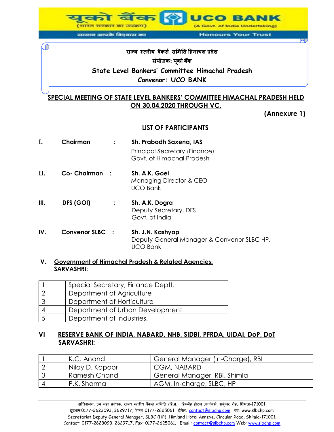सम्मान आपके विश्वास का

**Honours Your Trust** 

**UCO BANK** (A Govt. of India Undertaking)

**राज्य स्तरीय बकैंर्स र्मितत हििाचल प्रदेश र्ंयोजक: यकू ो बकैं State Level Bankers' Committee Himachal Pradesh Convenor: UCO BANK**

## **SPECIAL MEETING OF STATE LEVEL BANKERS' COMMITTEE HIMACHAL PRADESH HELD ON 30.04.2020 THROUGH VC.**

**(Annexure 1)**

## **LIST OF PARTICIPANTS**

- **I. Chairman : Sh. Prabodh Saxena, IAS**  Principal Secretary (Finance) Govt. of Himachal Pradesh
- **II. Co- Chairman : Sh. A.K. Goel** Managing Director & CEO UCO Bank
- **III. DFS (GOI) : Sh. A.K. Dogra** Deputy Secretary, DFS Govt. of India
- **IV. Convenor SLBC : Sh. J.N. Kashyap** Deputy General Manager & Convenor SLBC HP, UCO Bank

#### **V. Government of Himachal Pradesh & Related Agencies: SARVASHRI:**

| Special Secretary, Finance Deptt. |
|-----------------------------------|
| Department of Agriculture         |
| Department of Horticulture        |
| Department of Urban Development   |
| Department of Industries.         |

#### **VI RESERVE BANK OF INDIA, NABARD, NHB, SIDBI, PFRDA, UIDAI, DoP, DoT SARVASHRI:**

| K.C. Anand          | General Manager (In-Charge), RBI |
|---------------------|----------------------------------|
| Nilay D. Kapoor     | CGM, NABARD                      |
| <b>Ramesh Chand</b> | General Manager, RBI, Shimla     |
| P.K. Sharma         | AGM, In-charge, SLBC, HP         |